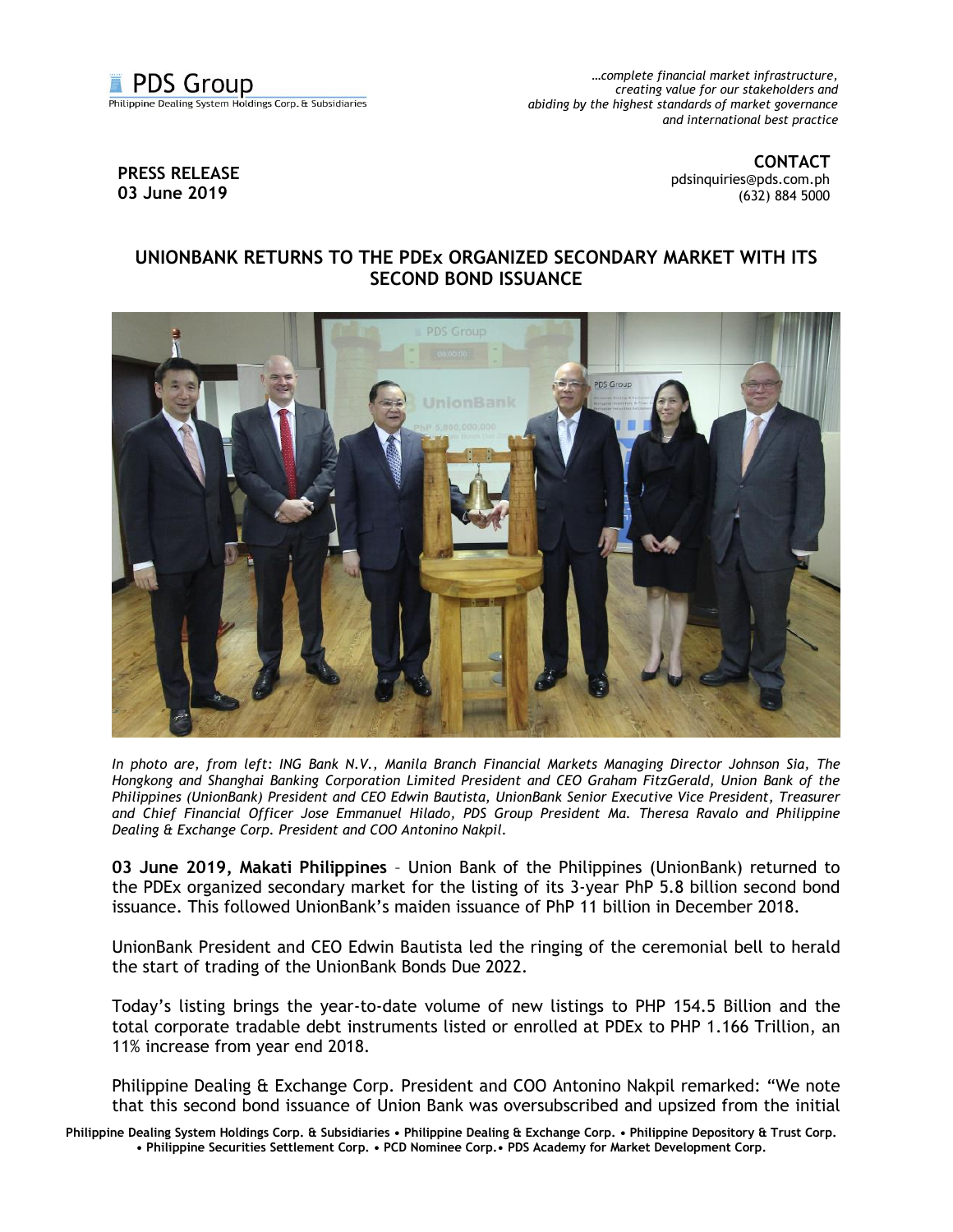

*…complete financial market infrastructure, creating value for our stakeholders and abiding by the highest standards of market governance and international best practice*

## **PRESS RELEASE 03 June 2019**

**CONTACT** [pdsinquiries@pds.com.ph](mailto:pdsinquiries@pds.com.ph) (632) 884 5000

## **UNIONBANK RETURNS TO THE PDEx ORGANIZED SECONDARY MARKET WITH ITS SECOND BOND ISSUANCE**



*In photo are, from left: ING Bank N.V., Manila Branch Financial Markets Managing Director Johnson Sia, The Hongkong and Shanghai Banking Corporation Limited President and CEO Graham FitzGerald, Union Bank of the Philippines (UnionBank) President and CEO Edwin Bautista, UnionBank Senior Executive Vice President, Treasurer and Chief Financial Officer Jose Emmanuel Hilado, PDS Group President Ma. Theresa Ravalo and Philippine Dealing & Exchange Corp. President and COO Antonino Nakpil.*

**03 June 2019, Makati Philippines** – Union Bank of the Philippines (UnionBank) returned to the PDEx organized secondary market for the listing of its 3-year PhP 5.8 billion second bond issuance. This followed UnionBank's maiden issuance of PhP 11 billion in December 2018.

UnionBank President and CEO Edwin Bautista led the ringing of the ceremonial bell to herald the start of trading of the UnionBank Bonds Due 2022.

Today's listing brings the year-to-date volume of new listings to PHP 154.5 Billion and the total corporate tradable debt instruments listed or enrolled at PDEx to PHP 1.166 Trillion, an 11% increase from year end 2018.

Philippine Dealing & Exchange Corp. President and COO Antonino Nakpil remarked: "We note that this second bond issuance of Union Bank was oversubscribed and upsized from the initial

**Philippine Dealing System Holdings Corp. & Subsidiaries • Philippine Dealing & Exchange Corp. • Philippine Depository & Trust Corp. • Philippine Securities Settlement Corp. • PCD Nominee Corp.• PDS Academy for Market Development Corp.**